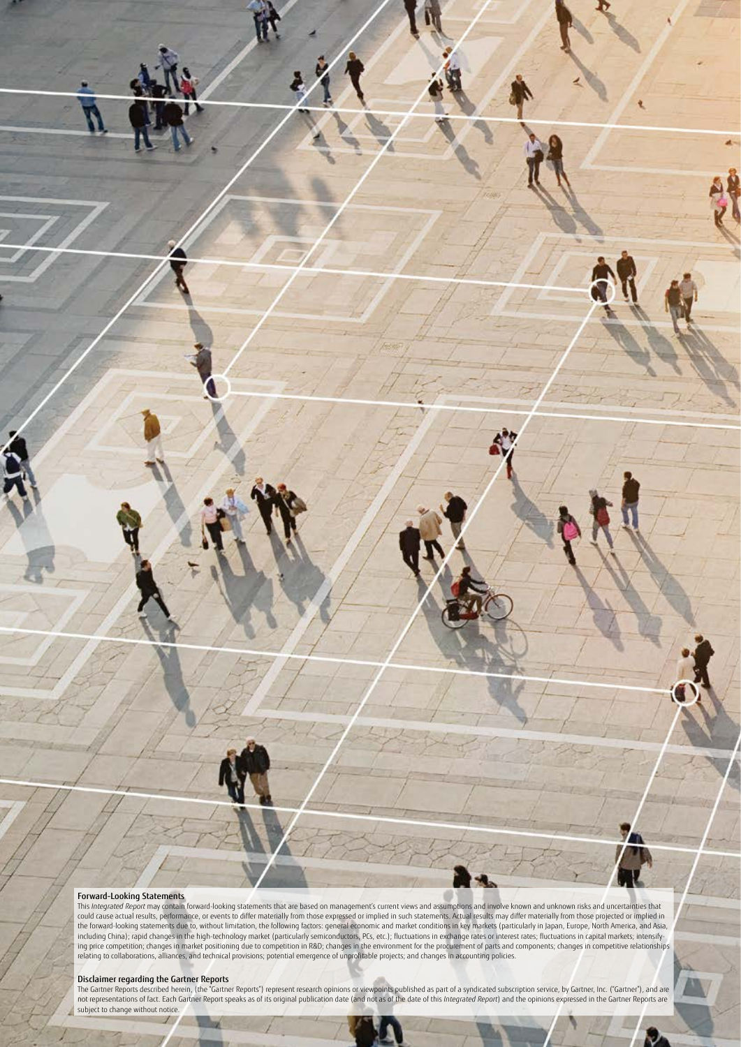## Forward-Looking Statements

This *Integrated Report* may contain forward-looking statements that are based on management's current views and assumptions and involve known and unknown risks and uncertainties that<br>could cause actual results, performanc the forward-looking statements due to, without limitation, the following factors: general economic and market conditions in key markets (particularly in Japan, Europe, North America, and Asia, including China); rapid changes in the high-technology market (particularly semiconductors, PCs, etc.); fluctuations in exchange rates or interest rates; fluctuations in capital markets; intensifying price competition; changes in market positioning due to competition in R&D; changes in the environment for the procurement of parts and components; changes in competitive relationships relating to collaborations, alliances, and technical provisions; potential emergence of unprofitable projects; and changes in accounting policies.

**Disclaimer regarding the Gartner Reports**<br>The Gartner Reports described herein, (the "Gartner Reports") represent research opinions or viewpoints published as part of a syndicated subscription service, by Gartner, Inc. (" not representations of fact. Each Gartner Report speaks as of its original publication date (and not as of the date of this I*ntegrated Report*) and the opinions expressed in the Gartner Reports are<br>subject to change witho